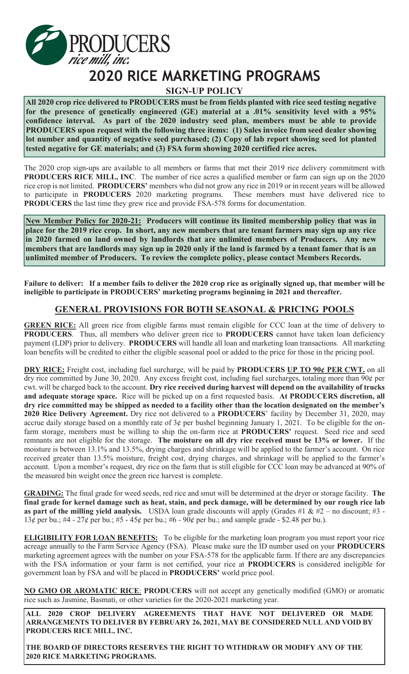

# **2020 RICE MARKETING PROGRAMS**

#### **SIGN-UP POLICY**

**All 2020 crop rice delivered to PRODUCERS must be from fields planted with rice seed testing negative for the presence of genetically engineered (GE) material at a .01% sensitivity level with a 95% confidence interval. As part of the 2020 industry seed plan, members must be able to provide PRODUCERS upon request with the following three items: (1) Sales invoice from seed dealer showing lot number and quantity of negative seed purchased; (2) Copy of lab report showing seed lot planted tested negative for GE materials; and (3) FSA form showing 2020 certified rice acres.** 

The 2020 crop sign-ups are available to all members or farms that met their 2019 rice delivery commitment with **PRODUCERS RICE MILL, INC**. The number of rice acres a qualified member or farm can sign up on the 2020 rice crop is not limited. **PRODUCERS'** members who did not grow any rice in 2019 or in recent years will be allowed to participate in **PRODUCERS** 2020 marketing programs. These members must have delivered rice to **PRODUCERS** the last time they grew rice and provide FSA-578 forms for documentation.

**New Member Policy for 2020-21: Producers will continue its limited membership policy that was in place for the 2019 rice crop. In short, any new members that are tenant farmers may sign up any rice in 2020 farmed on land owned by landlords that are unlimited members of Producers. Any new members that are landlords may sign up in 2020 only if the land is farmed by a tenant famer that is an unlimited member of Producers. To review the complete policy, please contact Members Records.** 

**Failure to deliver: If a member fails to deliver the 2020 crop rice as originally signed up, that member will be ineligible to participate in PRODUCERS' marketing programs beginning in 2021 and thereafter.** 

#### **GENERAL PROVISIONS FOR BOTH SEASONAL & PRICING POOLS**

**GREEN RICE:** All green rice from eligible farms must remain eligible for CCC loan at the time of delivery to **PRODUCERS**. Thus, all members who deliver green rice to **PRODUCERS** cannot have taken loan deficiency payment (LDP) prior to delivery. **PRODUCERS** will handle all loan and marketing loan transactions. All marketing loan benefits will be credited to either the eligible seasonal pool or added to the price for those in the pricing pool.

DRY RICE: Freight cost, including fuel surcharge, will be paid by PRODUCERS UP TO 90¢ PER CWT. on all dry rice committed by June 30, 2020. Any excess freight cost, including fuel surcharges, totaling more than 90¢ per cwt. will be charged back to the account. **Dry rice received during harvest will depend on the availability of trucks and adequate storage space.** Rice will be picked up on a first requested basis. **At PRODUCERS discretion, all dry rice committed may be shipped as needed to a facility other than the location designated on the member's 2020 Rice Delivery Agreement.** Dry rice not delivered to a **PRODUCERS**' facility by December 31, 2020, may accrue daily storage based on a monthly rate of  $3¢$  per bushel beginning January 1, 2021. To be eligible for the onfarm storage, members must be willing to ship the on-farm rice at **PRODUCERS'** request. Seed rice and seed remnants are not eligible for the storage. **The moisture on all dry rice received must be 13% or lower.** If the moisture is between 13.1% and 13.5%, drying charges and shrinkage will be applied to the farmer's account. On rice received greater than 13.5% moisture, freight cost, drying charges, and shrinkage will be applied to the farmer's account. Upon a member's request, dry rice on the farm that is still eligible for CCC loan may be advanced at 90% of the measured bin weight once the green rice harvest is complete.

**GRADING:** The final grade for weed seeds, red rice and smut will be determined at the dryer or storage facility. **The final grade for kernel damage such as heat, stain, and peck damage, will be determined by our rough rice lab as part of the milling yield analysis.** USDA loan grade discounts will apply (Grades #1  $\&$  #2 – no discount; #3 -13¢ per bu.; #4 - 27¢ per bu.; #5 - 45¢ per bu.; #6 - 90¢ per bu.; and sample grade - \$2.48 per bu.).

**ELIGIBILITY FOR LOAN BENEFITS:** To be eligible for the marketing loan program you must report your rice acreage annually to the Farm Service Agency (FSA). Please make sure the ID number used on your **PRODUCERS** marketing agreement agrees with the number on your FSA-578 for the applicable farm. If there are any discrepancies with the FSA information or your farm is not certified, your rice at **PRODUCERS** is considered ineligible for government loan by FSA and will be placed in **PRODUCERS'** world price pool.

**NO GMO OR AROMATIC RICE**: **PRODUCERS** will not accept any genetically modified (GMO) or aromatic rice such as Jasmine, Basmati, or other varieties for the 2020-2021 marketing year.

**ALL 2020 CROP DELIVERY AGREEMENTS THAT HAVE NOT DELIVERED OR MADE ARRANGEMENTS TO DELIVER BY FEBRUARY 26, 2021, MAY BE CONSIDERED NULL AND VOID BY PRODUCERS RICE MILL, INC.**

**THE BOARD OF DIRECTORS RESERVES THE RIGHT TO WITHDRAW OR MODIFY ANY OF THE 2020 RICE MARKETING PROGRAMS.**